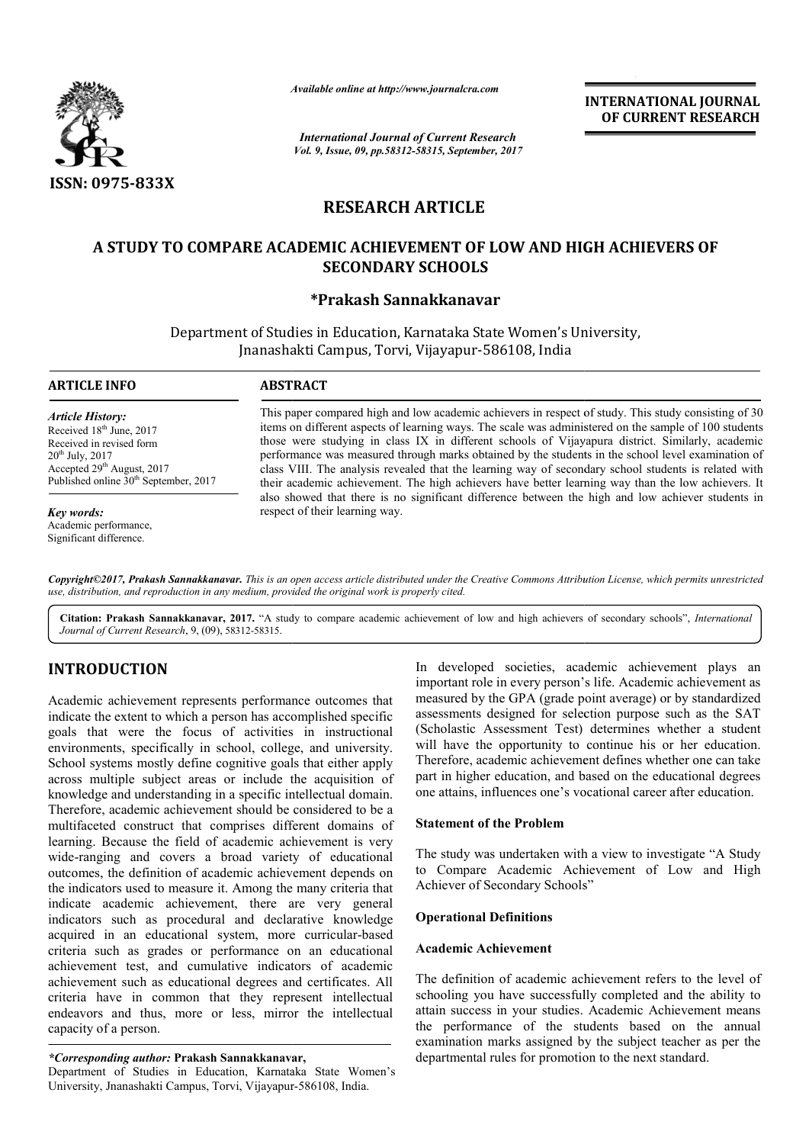

*Available online at http://www.journal*

*International Journal of Current Research Vol. 9, Issue, 09, pp.58312-58315, September, 2017* **INTERNATIONAL JOURNAL OF CURRENT RESEARCH** 

# **RESEARCH ARTICLE**

# **A STUDY TO COMPARE ACADEMIC ACHIEVEMENT OF LOW AND HIGH ACHIEVERS OF A SECONDARY SCHOOLS**

# **\*Prakash Sannakkanavar**

Department of Studies in Education, Karnataka State Women's University, Department Jnanashakti Campus, Torvi, Vijayapur-586108, India

# **ARTICLE INFO ABSTRACT**

*Article History:* Received 18<sup>th</sup> June, 2017 Received in revised form 20th July, 2017 Accepted 29<sup>th</sup> August, 2017 Published online 30<sup>th</sup> September, 2017

*Key words:* Academic performance, Significant difference.

This paper compared high and low academic achievers in respect of study. This study consisting of 30 items on different aspects of learning ways. The scale was administered on the sample of 100 students those were studying in class IX in different schools of Vijayapura district. Similarly, academic performance was measured through marks obtained by the students in the school level examination of class VIII. The analysis revealed that the learning way of secondary school students is related with their academic achievement. The high achievers have better learning way than the low achievers. It their academic achievement. The high achievers have better learning way than the low achievers. It also showed that there is no significant difference between the high and low achiever students in respect of their learning way. Available online at http://www.journalcra.com<br>
International Journal of Current Resea<br>
Vol. 9, Issue, 09, pp.58312-58315, September,<br> **RESEARCH ARTICLE**<br> **ACADEMIC ACHIEVEMENT OF L**<br> **SECONDARY SCHOOLS**<br>
\*Prakash Sannakkan This paper compared high and low academic achievers in respect of study. This study consisting of 30 items on different aspects of learning ways. The scale was administered on the sample of 100 students those were studying

*Copyright©2017, Prakash Sannakkanavar. This is an open access article distributed under the Creative Commons Att Attribution License, which ribution permits unrestricted use, distribution, and reproduction in any medium, provided the original work is properly cited.*

Citation: Prakash Sannakkanavar, 2017. "A study to compare academic achievement of low and high achievers of secondary schools", *International Journal of Current Research*, 9, (09), 58312-58315.

# **INTRODUCTION**

Academic achievement represents performance outcomes that indicate the extent to which a person has accomplished specific goals that were the focus of activities in instructional environments, specifically in school, college, and university. School systems mostly define cognitive goals that either apply across multiple subject areas or include the acquisition of knowledge and understanding in a specific intellectual domain. Therefore, academic achievement should be considered to be a multifaceted construct that comprises different domains of learning. Because the field of academic achievement is very wide-ranging and covers a broad variety of educational outcomes, the definition of academic achievement depends on the indicators used to measure it. Among the many criteria that indicate academic achievement, there are very general indicators such as procedural and declarative knowledge multifaceted construct that comprises different domains of learning. Because the field of academic achievement is very wide-ranging and covers a broad variety of educational outcomes, the definition of academic achievement criteria such as grades or performance on an educational achievement test, and cumulative indicators of academic achievement such as educational degrees and certificates. All criteria have in common that they represent intellectual endeavors and thus, more or less, mirror the intellectual capacity of a person.

#### *\*Corresponding author:* **Prakash Sannakkanavar Sannakkanavar,**

Department of Studies in Education, Karnataka State Women's University, Jnanashakti Campus, Torvi, Vijayapur-586108, India.

In developed societies, academic achievement plays an important role in every person's life. Academic achievement as measured by the GPA (grade point average) or by standardized assessments designed for selection purpose such as the SAT (Scholastic Assessment Test) determines whether a student will have the opportunity to continue his or her education. Therefore, academic achievement defines whether one can take part in higher education, and based on the educational degrees one attains, influences one's vocational career after education. developed societies, academic achievement plays an ortant role in every person's life. Academic achievement as sured by the GPA (grade point average) or by standardized ssments designed for selection purpose such as the SA

# **Statement of the Problem**

The study was undertaken with a view to investigate "A Study to Compare Academic Achievement of Low and High Achiever of Secondary Schools"

### **Operational Definitions**

# **Academic Achievement**

The definition of academic achievement refers to the level of schooling you have successfully completed and the ability to attain success in your studies. Academic Achievement means the performance of the students based on the annual examination marks assigned by the subject teacher as per the departmental rules for promotion to the next standard. Therefore, academic achievement defines whether one can ta<br>part in higher education, and based on the educational degre<br>one attains, influences one's vocational career after education<br>**Statement of the Problem**<br>The study w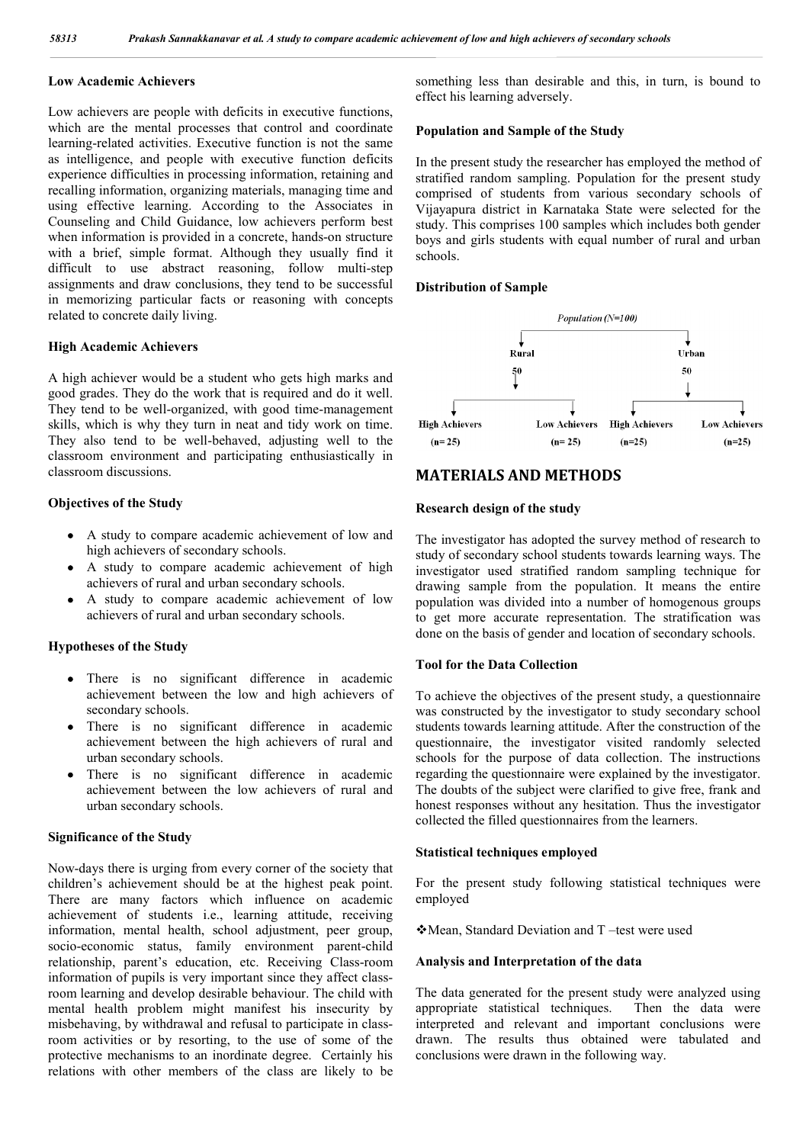# **Low Academic Achievers**

Low achievers are people with deficits in executive functions, which are the mental processes that control and coordinate learning-related activities. Executive function is not the same as intelligence, and people with executive function deficits experience difficulties in processing information, retaining and recalling information, organizing materials, managing time and using effective learning. According to the Associates in Counseling and Child Guidance, low achievers perform best when information is provided in a concrete, hands-on structure with a brief, simple format. Although they usually find it difficult to use abstract reasoning, follow multi-step assignments and draw conclusions, they tend to be successful in memorizing particular facts or reasoning with concepts related to concrete daily living.

## **High Academic Achievers**

A high achiever would be a student who gets high marks and good grades. They do the work that is required and do it well. They tend to be well-organized, with good time-management skills, which is why they turn in neat and tidy work on time. They also tend to be well-behaved, adjusting well to the classroom environment and participating enthusiastically in classroom discussions.

## **Objectives of the Study**

- A study to compare academic achievement of low and high achievers of secondary schools.
- A study to compare academic achievement of high achievers of rural and urban secondary schools.
- A study to compare academic achievement of low achievers of rural and urban secondary schools.

## **Hypotheses of the Study**

- There is no significant difference in academic achievement between the low and high achievers of secondary schools.
- There is no significant difference in academic achievement between the high achievers of rural and urban secondary schools.
- There is no significant difference in academic achievement between the low achievers of rural and urban secondary schools.

### **Significance of the Study**

Now-days there is urging from every corner of the society that children's achievement should be at the highest peak point. There are many factors which influence on academic achievement of students i.e., learning attitude, receiving information, mental health, school adjustment, peer group, socio-economic status, family environment parent-child relationship, parent's education, etc. Receiving Class-room information of pupils is very important since they affect classroom learning and develop desirable behaviour. The child with mental health problem might manifest his insecurity by misbehaving, by withdrawal and refusal to participate in classroom activities or by resorting, to the use of some of the protective mechanisms to an inordinate degree. Certainly his relations with other members of the class are likely to be

something less than desirable and this, in turn, is bound to effect his learning adversely.

# **Population and Sample of the Study**

In the present study the researcher has employed the method of stratified random sampling. Population for the present study comprised of students from various secondary schools of Vijayapura district in Karnataka State were selected for the study. This comprises 100 samples which includes both gender boys and girls students with equal number of rural and urban schools.

# **Distribution of Sample**



# **MATERIALS AND METHODS**

# **Research design of the study**

The investigator has adopted the survey method of research to study of secondary school students towards learning ways. The investigator used stratified random sampling technique for drawing sample from the population. It means the entire population was divided into a number of homogenous groups to get more accurate representation. The stratification was done on the basis of gender and location of secondary schools.

# **Tool for the Data Collection**

To achieve the objectives of the present study, a questionnaire was constructed by the investigator to study secondary school students towards learning attitude. After the construction of the questionnaire, the investigator visited randomly selected schools for the purpose of data collection. The instructions regarding the questionnaire were explained by the investigator. The doubts of the subject were clarified to give free, frank and honest responses without any hesitation. Thus the investigator collected the filled questionnaires from the learners.

## **Statistical techniques employed**

For the present study following statistical techniques were employed

Mean, Standard Deviation and T –test were used

# **Analysis and Interpretation of the data**

The data generated for the present study were analyzed using appropriate statistical techniques. Then the data were interpreted and relevant and important conclusions were drawn. The results thus obtained were tabulated and conclusions were drawn in the following way.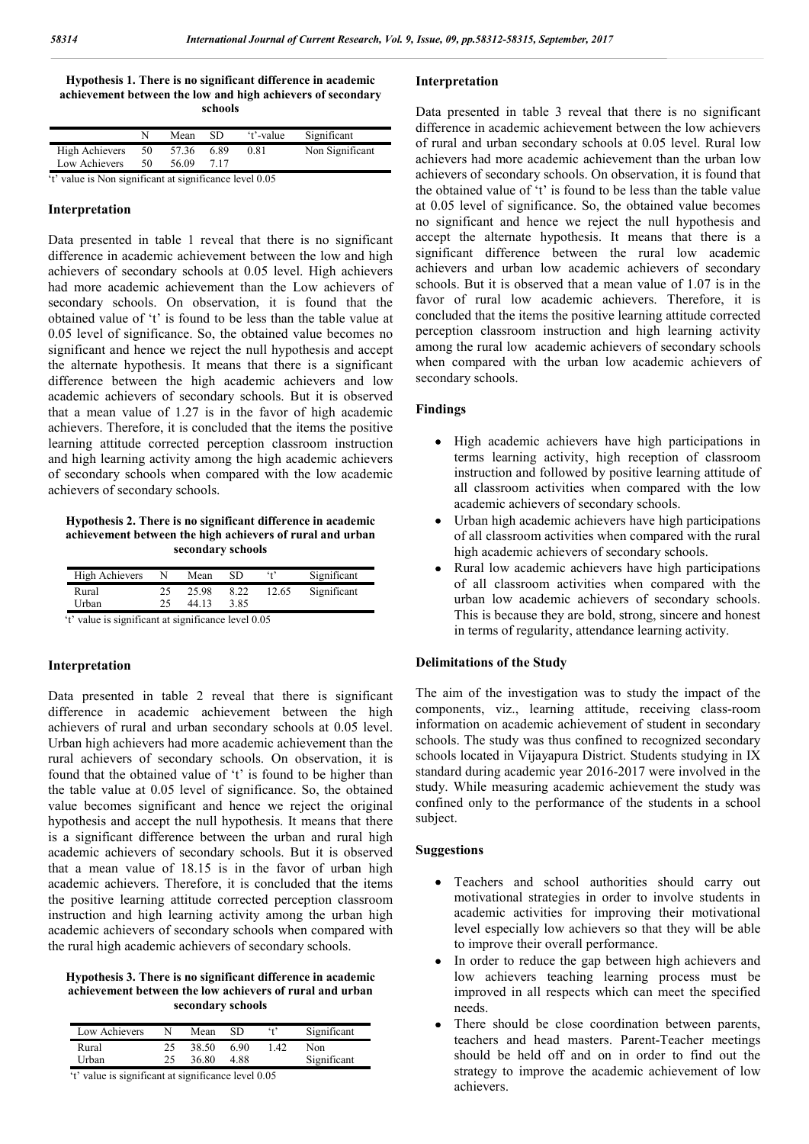**Hypothesis 1. There is no significant difference in academic achievement between the low and high achievers of secondary schools**

|                |     | Mean  | SD   | 't'-value | Significant     |
|----------------|-----|-------|------|-----------|-----------------|
| High Achievers | 50  | 57.36 | 6.89 | 0.81      | Non Significant |
| Low Achievers  | 50. | 56.09 | 717  |           |                 |

't' value is Non significant at significance level 0.05

#### **Interpretation**

Data presented in table 1 reveal that there is no significant difference in academic achievement between the low and high achievers of secondary schools at 0.05 level. High achievers had more academic achievement than the Low achievers of secondary schools. On observation, it is found that the obtained value of 't' is found to be less than the table value at 0.05 level of significance. So, the obtained value becomes no significant and hence we reject the null hypothesis and accept the alternate hypothesis. It means that there is a significant difference between the high academic achievers and low academic achievers of secondary schools. But it is observed that a mean value of 1.27 is in the favor of high academic achievers. Therefore, it is concluded that the items the positive learning attitude corrected perception classroom instruction and high learning activity among the high academic achievers of secondary schools when compared with the low academic achievers of secondary schools.

**Hypothesis 2. There is no significant difference in academic achievement between the high achievers of rural and urban secondary schools**

| High Achievers |    | Mean  | SD   | $\cdot$ + $\cdot$ | Significant |
|----------------|----|-------|------|-------------------|-------------|
| Rural          | 25 | 25.98 | 8.22 | 12.65             | Significant |
| Urban          | 25 | 44.13 | 3.85 |                   |             |
|                |    |       |      |                   |             |

't' value is significant at significance level 0.05

# **Interpretation**

Data presented in table 2 reveal that there is significant difference in academic achievement between the high achievers of rural and urban secondary schools at 0.05 level. Urban high achievers had more academic achievement than the rural achievers of secondary schools. On observation, it is found that the obtained value of 't' is found to be higher than the table value at 0.05 level of significance. So, the obtained value becomes significant and hence we reject the original hypothesis and accept the null hypothesis. It means that there is a significant difference between the urban and rural high academic achievers of secondary schools. But it is observed that a mean value of 18.15 is in the favor of urban high academic achievers. Therefore, it is concluded that the items the positive learning attitude corrected perception classroom instruction and high learning activity among the urban high academic achievers of secondary schools when compared with the rural high academic achievers of secondary schools.

## **Hypothesis 3. There is no significant difference in academic achievement between the low achievers of rural and urban secondary schools**

| Low Achievers |    | Mean  | SD   | $\ddot{\ }$ | Significant |
|---------------|----|-------|------|-------------|-------------|
| Rural         |    | 38.50 | 690  | 142         | Non         |
| Urban         | 25 | 36.80 | 4 88 |             | Significant |
| - -           |    | - -   |      | .           |             |

't' value is significant at significance level 0.05

## **Interpretation**

Data presented in table 3 reveal that there is no significant difference in academic achievement between the low achievers of rural and urban secondary schools at 0.05 level. Rural low achievers had more academic achievement than the urban low achievers of secondary schools. On observation, it is found that the obtained value of 't' is found to be less than the table value at 0.05 level of significance. So, the obtained value becomes no significant and hence we reject the null hypothesis and accept the alternate hypothesis. It means that there is a significant difference between the rural low academic achievers and urban low academic achievers of secondary schools. But it is observed that a mean value of 1.07 is in the favor of rural low academic achievers. Therefore, it is concluded that the items the positive learning attitude corrected perception classroom instruction and high learning activity among the rural low academic achievers of secondary schools when compared with the urban low academic achievers of secondary schools.

# **Findings**

- High academic achievers have high participations in terms learning activity, high reception of classroom instruction and followed by positive learning attitude of all classroom activities when compared with the low academic achievers of secondary schools.
- Urban high academic achievers have high participations of all classroom activities when compared with the rural high academic achievers of secondary schools.
- Rural low academic achievers have high participations of all classroom activities when compared with the urban low academic achievers of secondary schools. This is because they are bold, strong, sincere and honest in terms of regularity, attendance learning activity.

## **Delimitations of the Study**

The aim of the investigation was to study the impact of the components, viz., learning attitude, receiving class-room information on academic achievement of student in secondary schools. The study was thus confined to recognized secondary schools located in Vijayapura District. Students studying in IX standard during academic year 2016-2017 were involved in the study. While measuring academic achievement the study was confined only to the performance of the students in a school subject.

## **Suggestions**

- Teachers and school authorities should carry out motivational strategies in order to involve students in academic activities for improving their motivational level especially low achievers so that they will be able to improve their overall performance.
- In order to reduce the gap between high achievers and low achievers teaching learning process must be improved in all respects which can meet the specified needs.
- There should be close coordination between parents, teachers and head masters. Parent-Teacher meetings should be held off and on in order to find out the strategy to improve the academic achievement of low achievers.